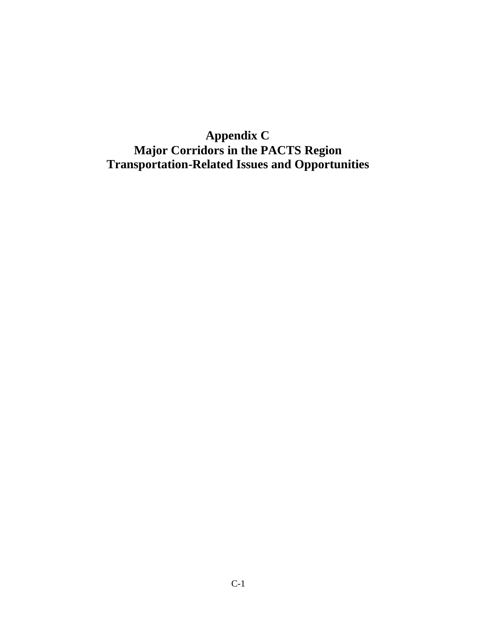# **Appendix C Major Corridors in the PACTS Region Transportation-Related Issues and Opportunities**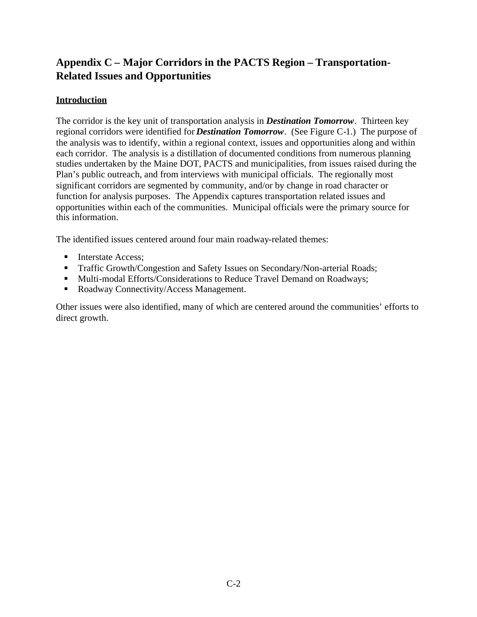## **Appendix C – Major Corridors in the PACTS Region – Transportation-Related Issues and Opportunities**

## **Introduction**

The corridor is the key unit of transportation analysis in *Destination Tomorrow*. Thirteen key regional corridors were identified for *Destination Tomorrow*. (See Figure C-1.) The purpose of the analysis was to identify, within a regional context, issues and opportunities along and within each corridor. The analysis is a distillation of documented conditions from numerous planning studies undertaken by the Maine DOT, PACTS and municipalities, from issues raised during the Plan's public outreach, and from interviews with municipal officials. The regionally most significant corridors are segmented by community, and/or by change in road character or function for analysis purposes. The Appendix captures transportation related issues and opportunities within each of the communities. Municipal officials were the primary source for this information.

The identified issues centered around four main roadway-related themes:

- Interstate Access:
- **Traffic Growth/Congestion and Safety Issues on Secondary/Non-arterial Roads;**
- Multi-modal Efforts/Considerations to Reduce Travel Demand on Roadways;
- Roadway Connectivity/Access Management.

Other issues were also identified, many of which are centered around the communities' efforts to direct growth.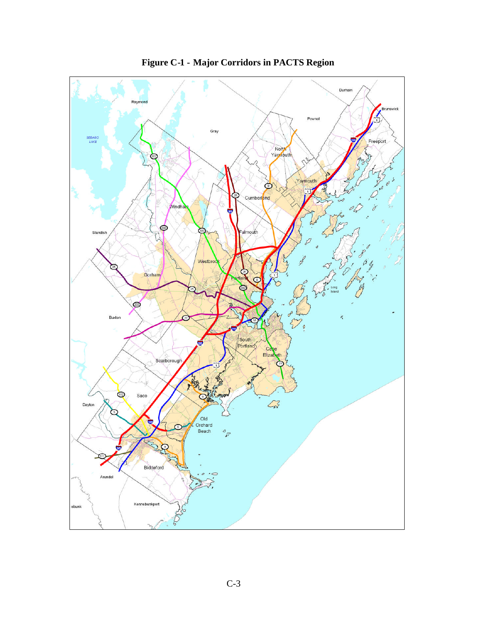

**Figure C-1 - Major Corridors in PACTS Region**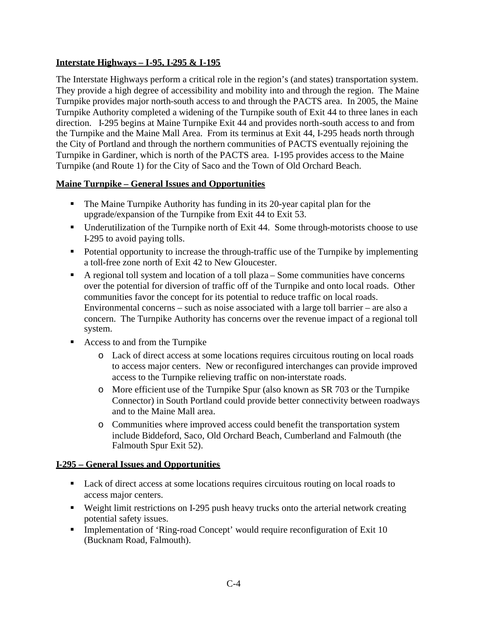## **Interstate Highways – I-95, I-295 & I-195**

The Interstate Highways perform a critical role in the region's (and states) transportation system. They provide a high degree of accessibility and mobility into and through the region. The Maine Turnpike provides major north-south access to and through the PACTS area. In 2005, the Maine Turnpike Authority completed a widening of the Turnpike south of Exit 44 to three lanes in each direction. I-295 begins at Maine Turnpike Exit 44 and provides north-south access to and from the Turnpike and the Maine Mall Area. From its terminus at Exit 44, I-295 heads north through the City of Portland and through the northern communities of PACTS eventually rejoining the Turnpike in Gardiner, which is north of the PACTS area. I-195 provides access to the Maine Turnpike (and Route 1) for the City of Saco and the Town of Old Orchard Beach.

#### **Maine Turnpike – General Issues and Opportunities**

- The Maine Turnpike Authority has funding in its 20-year capital plan for the upgrade/expansion of the Turnpike from Exit 44 to Exit 53.
- Underutilization of the Turnpike north of Exit 44. Some through-motorists choose to use I-295 to avoid paying tolls.
- Potential opportunity to increase the through-traffic use of the Turnpike by implementing a toll-free zone north of Exit 42 to New Gloucester.
- $\blacksquare$  A regional toll system and location of a toll plaza Some communities have concerns over the potential for diversion of traffic off of the Turnpike and onto local roads. Other communities favor the concept for its potential to reduce traffic on local roads. Environmental concerns – such as noise associated with a large toll barrier – are also a concern. The Turnpike Authority has concerns over the revenue impact of a regional toll system.
- Access to and from the Turnpike
	- o Lack of direct access at some locations requires circuitous routing on local roads to access major centers. New or reconfigured interchanges can provide improved access to the Turnpike relieving traffic on non-interstate roads.
	- o More efficient use of the Turnpike Spur (also known as SR 703 or the Turnpike Connector) in South Portland could provide better connectivity between roadways and to the Maine Mall area.
	- o Communities where improved access could benefit the transportation system include Biddeford, Saco, Old Orchard Beach, Cumberland and Falmouth (the Falmouth Spur Exit 52).

#### **I-295 – General Issues and Opportunities**

- Lack of direct access at some locations requires circuitous routing on local roads to access major centers.
- Weight limit restrictions on I-295 push heavy trucks onto the arterial network creating potential safety issues.
- Implementation of 'Ring-road Concept' would require reconfiguration of Exit 10 (Bucknam Road, Falmouth).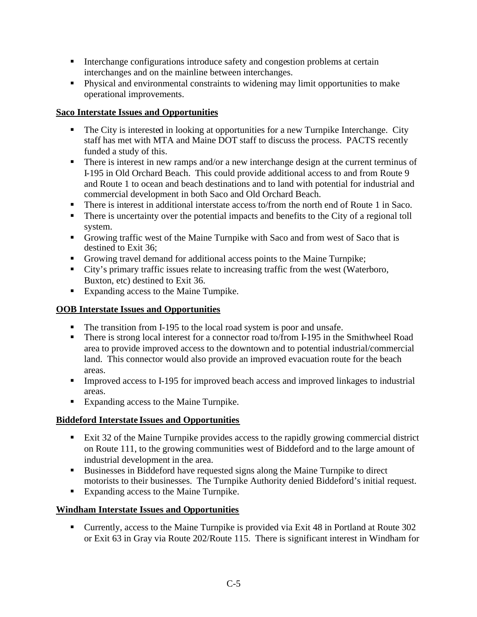- Interchange configurations introduce safety and congestion problems at certain interchanges and on the mainline between interchanges.
- Physical and environmental constraints to widening may limit opportunities to make operational improvements.

## **Saco Interstate Issues and Opportunities**

- The City is interested in looking at opportunities for a new Turnpike Interchange. City staff has met with MTA and Maine DOT staff to discuss the process. PACTS recently funded a study of this.
- There is interest in new ramps and/or a new interchange design at the current terminus of I-195 in Old Orchard Beach. This could provide additional access to and from Route 9 and Route 1 to ocean and beach destinations and to land with potential for industrial and commercial development in both Saco and Old Orchard Beach.
- There is interest in additional interstate access to/from the north end of Route 1 in Saco.
- There is uncertainty over the potential impacts and benefits to the City of a regional toll system.
- Growing traffic west of the Maine Turnpike with Saco and from west of Saco that is destined to Exit 36;
- Growing travel demand for additional access points to the Maine Turnpike;
- City's primary traffic issues relate to increasing traffic from the west (Waterboro, Buxton, etc) destined to Exit 36.
- Expanding access to the Maine Turnpike.

#### **OOB Interstate Issues and Opportunities**

- The transition from I-195 to the local road system is poor and unsafe.
- There is strong local interest for a connector road to/from I-195 in the Smithwheel Road area to provide improved access to the downtown and to potential industrial/commercial land. This connector would also provide an improved evacuation route for the beach areas.
- Improved access to I-195 for improved beach access and improved linkages to industrial areas.
- Expanding access to the Maine Turnpike.

## **Biddeford Interstate Issues and Opportunities**

- Exit 32 of the Maine Turnpike provides access to the rapidly growing commercial district on Route 111, to the growing communities west of Biddeford and to the large amount of industrial development in the area.
- Businesses in Biddeford have requested signs along the Maine Turnpike to direct motorists to their businesses. The Turnpike Authority denied Biddeford's initial request.
- Expanding access to the Maine Turnpike.

## **Windham Interstate Issues and Opportunities**

 Currently, access to the Maine Turnpike is provided via Exit 48 in Portland at Route 302 or Exit 63 in Gray via Route 202/Route 115. There is significant interest in Windham for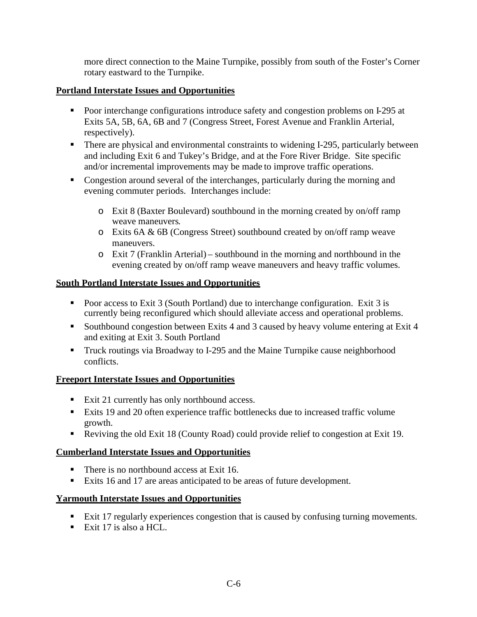more direct connection to the Maine Turnpike, possibly from south of the Foster's Corner rotary eastward to the Turnpike.

## **Portland Interstate Issues and Opportunities**

- **Poor interchange configurations introduce safety and congestion problems on I-295 at** Exits 5A, 5B, 6A, 6B and 7 (Congress Street, Forest Avenue and Franklin Arterial, respectively).
- There are physical and environmental constraints to widening I-295, particularly between and including Exit 6 and Tukey's Bridge, and at the Fore River Bridge. Site specific and/or incremental improvements may be made to improve traffic operations.
- Congestion around several of the interchanges, particularly during the morning and evening commuter periods. Interchanges include:
	- o Exit 8 (Baxter Boulevard) southbound in the morning created by on/off ramp weave maneuvers.
	- o Exits 6A & 6B (Congress Street) southbound created by on/off ramp weave maneuvers.
	- o Exit 7 (Franklin Arterial) southbound in the morning and northbound in the evening created by on/off ramp weave maneuvers and heavy traffic volumes.

## **South Portland Interstate Issues and Opportunities**

- Poor access to Exit 3 (South Portland) due to interchange configuration. Exit 3 is currently being reconfigured which should alleviate access and operational problems.
- Southbound congestion between Exits 4 and 3 caused by heavy volume entering at Exit 4 and exiting at Exit 3. South Portland
- **Truck routings via Broadway to I-295 and the Maine Turnpike cause neighborhood** conflicts.

## **Freeport Interstate Issues and Opportunities**

- Exit 21 currently has only northbound access.
- Exits 19 and 20 often experience traffic bottlenecks due to increased traffic volume growth.
- Reviving the old Exit 18 (County Road) could provide relief to congestion at Exit 19.

## **Cumberland Interstate Issues and Opportunities**

- There is no northbound access at Exit 16.
- Exits 16 and 17 are areas anticipated to be areas of future development.

## **Yarmouth Interstate Issues and Opportunities**

- Exit 17 regularly experiences congestion that is caused by confusing turning movements.
- Exit 17 is also a HCL.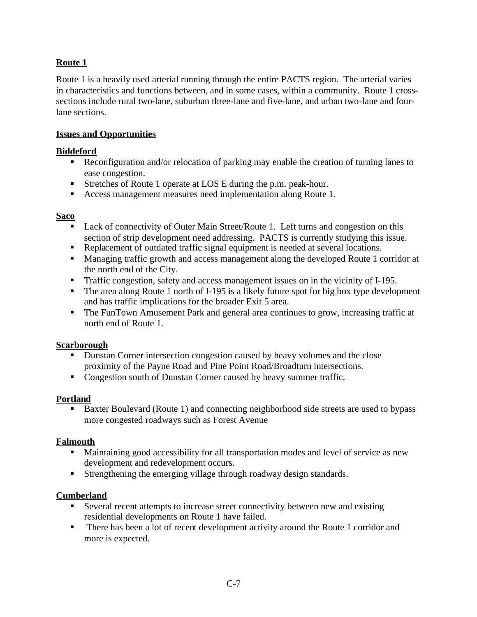## **Route 1**

Route 1 is a heavily used arterial running through the entire PACTS region. The arterial varies in characteristics and functions between, and in some cases, within a community. Route 1 crosssections include rural two-lane, suburban three-lane and five-lane, and urban two-lane and fourlane sections.

#### **Issues and Opportunities**

#### **Biddeford**

- **Reconfiguration and/or relocation of parking may enable the creation of turning lanes to** ease congestion.
- Stretches of Route 1 operate at LOS E during the p.m. peak-hour.
- Access management measures need implementation along Route 1.

#### **Saco**

- Lack of connectivity of Outer Main Street/Route 1. Left turns and congestion on this section of strip development need addressing. PACTS is currently studying this issue.
- Replacement of outdated traffic signal equipment is needed at several locations.
- Managing traffic growth and access management along the developed Route 1 corridor at the north end of the City.
- Traffic congestion, safety and access management issues on in the vicinity of I-195.
- The area along Route 1 north of I-195 is a likely future spot for big box type development and has traffic implications for the broader Exit 5 area.
- The FunTown Amusement Park and general area continues to grow, increasing traffic at north end of Route 1.

#### **Scarborough**

- Dunstan Corner intersection congestion caused by heavy volumes and the close proximity of the Payne Road and Pine Point Road/Broadturn intersections.
- Congestion south of Dunstan Corner caused by heavy summer traffic.

#### **Portland**

Baxter Boulevard (Route 1) and connecting neighborhood side streets are used to bypass more congested roadways such as Forest Avenue

#### **Falmouth**

- Maintaining good accessibility for all transportation modes and level of service as new development and redevelopment occurs.
- Strengthening the emerging village through roadway design standards.

## **Cumberland**

- Several recent attempts to increase street connectivity between new and existing residential developments on Route 1 have failed.
- There has been a lot of recent development activity around the Route 1 corridor and more is expected.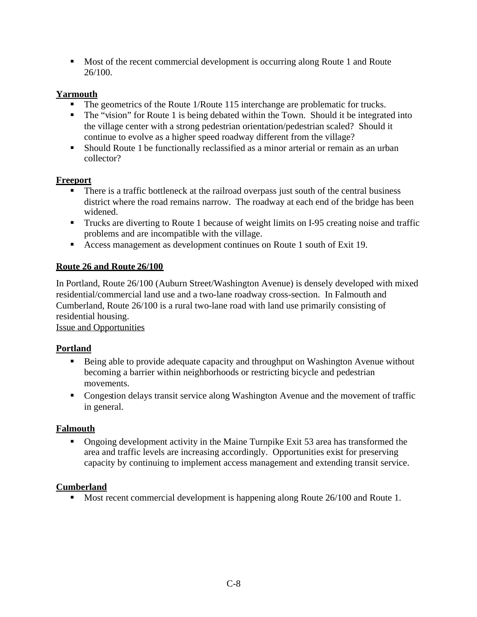Most of the recent commercial development is occurring along Route 1 and Route 26/100.

## **Yarmouth**

- The geometrics of the Route 1/Route 115 interchange are problematic for trucks.
- The "vision" for Route 1 is being debated within the Town. Should it be integrated into the village center with a strong pedestrian orientation/pedestrian scaled? Should it continue to evolve as a higher speed roadway different from the village?
- Should Route 1 be functionally reclassified as a minor arterial or remain as an urban collector?

#### **Freeport**

- There is a traffic bottleneck at the railroad overpass just south of the central business district where the road remains narrow. The roadway at each end of the bridge has been widened.
- **Trucks are diverting to Route 1 because of weight limits on I-95 creating noise and traffic** problems and are incompatible with the village.
- Access management as development continues on Route 1 south of Exit 19.

## **Route 26 and Route 26/100**

In Portland, Route 26/100 (Auburn Street/Washington Avenue) is densely developed with mixed residential/commercial land use and a two-lane roadway cross-section. In Falmouth and Cumberland, Route 26/100 is a rural two-lane road with land use primarily consisting of residential housing.

Issue and Opportunities

## **Portland**

- Being able to provide adequate capacity and throughput on Washington Avenue without becoming a barrier within neighborhoods or restricting bicycle and pedestrian movements.
- Congestion delays transit service along Washington Avenue and the movement of traffic in general.

#### **Falmouth**

• Ongoing development activity in the Maine Turnpike Exit 53 area has transformed the area and traffic levels are increasing accordingly. Opportunities exist for preserving capacity by continuing to implement access management and extending transit service.

#### **Cumberland**

Most recent commercial development is happening along Route 26/100 and Route 1.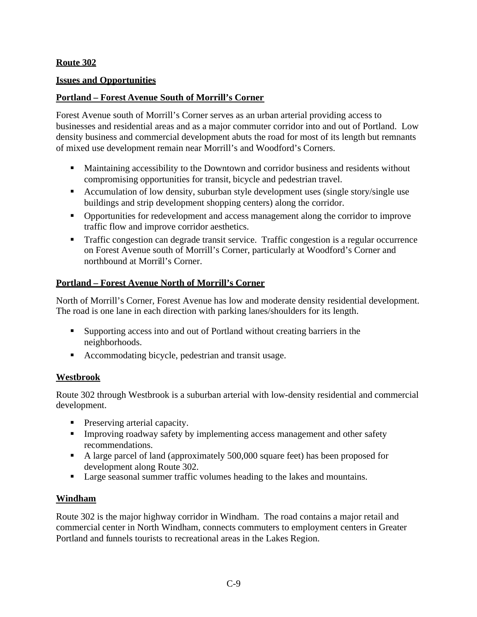## **Route 302**

#### **Issues and Opportunities**

#### **Portland – Forest Avenue South of Morrill's Corner**

Forest Avenue south of Morrill's Corner serves as an urban arterial providing access to businesses and residential areas and as a major commuter corridor into and out of Portland. Low density business and commercial development abuts the road for most of its length but remnants of mixed use development remain near Morrill's and Woodford's Corners.

- Maintaining accessibility to the Downtown and corridor business and residents without compromising opportunities for transit, bicycle and pedestrian travel.
- Accumulation of low density, suburban style development uses (single story/single use buildings and strip development shopping centers) along the corridor.
- Opportunities for redevelopment and access management along the corridor to improve traffic flow and improve corridor aesthetics.
- Traffic congestion can degrade transit service. Traffic congestion is a regular occurrence on Forest Avenue south of Morrill's Corner, particularly at Woodford's Corner and northbound at Morrill's Corner.

## **Portland – Forest Avenue North of Morrill's Corner**

North of Morrill's Corner, Forest Avenue has low and moderate density residential development. The road is one lane in each direction with parking lanes/shoulders for its length.

- Supporting access into and out of Portland without creating barriers in the neighborhoods.
- Accommodating bicycle, pedestrian and transit usage.

#### **Westbrook**

Route 302 through Westbrook is a suburban arterial with low-density residential and commercial development.

- **Preserving arterial capacity.**
- Improving roadway safety by implementing access management and other safety recommendations.
- A large parcel of land (approximately 500,000 square feet) has been proposed for development along Route 302.
- Large seasonal summer traffic volumes heading to the lakes and mountains.

#### **Windham**

Route 302 is the major highway corridor in Windham. The road contains a major retail and commercial center in North Windham, connects commuters to employment centers in Greater Portland and funnels tourists to recreational areas in the Lakes Region.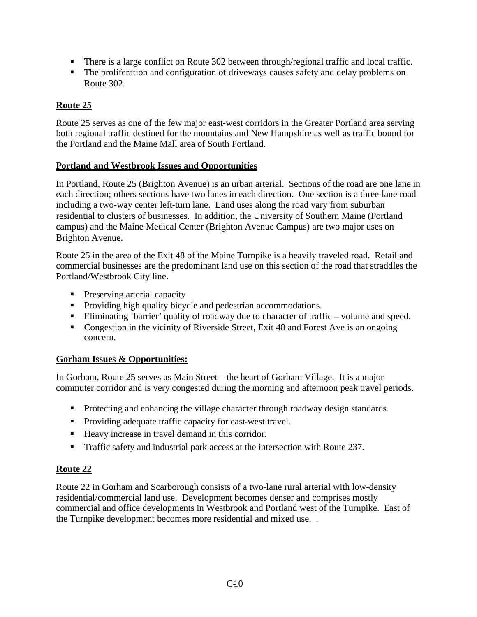- There is a large conflict on Route 302 between through/regional traffic and local traffic.
- The proliferation and configuration of driveways causes safety and delay problems on Route 302.

## **Route 25**

Route 25 serves as one of the few major east-west corridors in the Greater Portland area serving both regional traffic destined for the mountains and New Hampshire as well as traffic bound for the Portland and the Maine Mall area of South Portland.

#### **Portland and Westbrook Issues and Opportunities**

In Portland, Route 25 (Brighton Avenue) is an urban arterial. Sections of the road are one lane in each direction; others sections have two lanes in each direction. One section is a three-lane road including a two-way center left-turn lane. Land uses along the road vary from suburban residential to clusters of businesses. In addition, the University of Southern Maine (Portland campus) and the Maine Medical Center (Brighton Avenue Campus) are two major uses on Brighton Avenue.

Route 25 in the area of the Exit 48 of the Maine Turnpike is a heavily traveled road. Retail and commercial businesses are the predominant land use on this section of the road that straddles the Portland/Westbrook City line.

- **Preserving arterial capacity**
- Providing high quality bicycle and pedestrian accommodations.
- Eliminating 'barrier' quality of roadway due to character of traffic volume and speed.
- Congestion in the vicinity of Riverside Street, Exit 48 and Forest Ave is an ongoing concern.

#### **Gorham Issues & Opportunities:**

In Gorham, Route 25 serves as Main Street – the heart of Gorham Village. It is a major commuter corridor and is very congested during the morning and afternoon peak travel periods.

- Protecting and enhancing the village character through roadway design standards.
- Providing adequate traffic capacity for east-west travel.
- Heavy increase in travel demand in this corridor.
- Traffic safety and industrial park access at the intersection with Route 237.

## **Route 22**

Route 22 in Gorham and Scarborough consists of a two-lane rural arterial with low-density residential/commercial land use. Development becomes denser and comprises mostly commercial and office developments in Westbrook and Portland west of the Turnpike. East of the Turnpike development becomes more residential and mixed use. .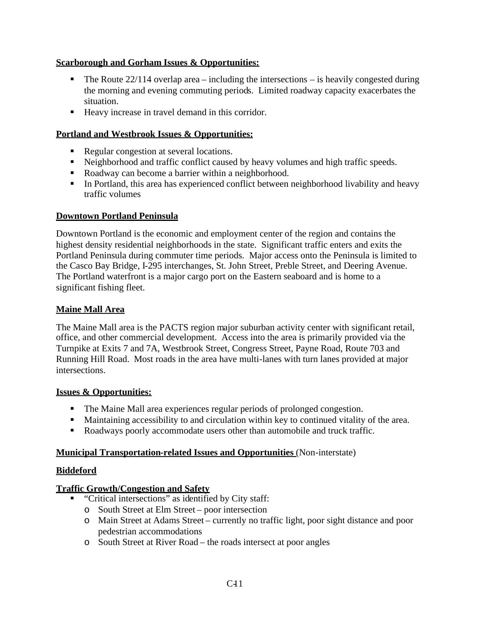## **Scarborough and Gorham Issues & Opportunities:**

- The Route  $22/114$  overlap area including the intersections is heavily congested during the morning and evening commuting periods. Limited roadway capacity exacerbates the situation.
- Heavy increase in travel demand in this corridor.

#### **Portland and Westbrook Issues & Opportunities:**

- Regular congestion at several locations.
- Neighborhood and traffic conflict caused by heavy volumes and high traffic speeds.
- Roadway can become a barrier within a neighborhood.
- In Portland, this area has experienced conflict between neighborhood livability and heavy traffic volumes

## **Downtown Portland Peninsula**

Downtown Portland is the economic and employment center of the region and contains the highest density residential neighborhoods in the state. Significant traffic enters and exits the Portland Peninsula during commuter time periods. Major access onto the Peninsula is limited to the Casco Bay Bridge, I-295 interchanges, St. John Street, Preble Street, and Deering Avenue. The Portland waterfront is a major cargo port on the Eastern seaboard and is home to a significant fishing fleet.

#### **Maine Mall Area**

The Maine Mall area is the PACTS region major suburban activity center with significant retail, office, and other commercial development. Access into the area is primarily provided via the Turnpike at Exits 7 and 7A, Westbrook Street, Congress Street, Payne Road, Route 703 and Running Hill Road. Most roads in the area have multi-lanes with turn lanes provided at major intersections.

#### **Issues & Opportunities:**

- The Maine Mall area experiences regular periods of prolonged congestion.
- Maintaining accessibility to and circulation within key to continued vitality of the area.
- Roadways poorly accommodate users other than automobile and truck traffic.

#### **Municipal Transportation-related Issues and Opportunities** (Non-interstate)

#### **Biddeford**

## **Traffic Growth/Congestion and Safety**

- "Critical intersections" as identified by City staff:
	- o South Street at Elm Street poor intersection
	- o Main Street at Adams Street currently no traffic light, poor sight distance and poor pedestrian accommodations
	- o South Street at River Road the roads intersect at poor angles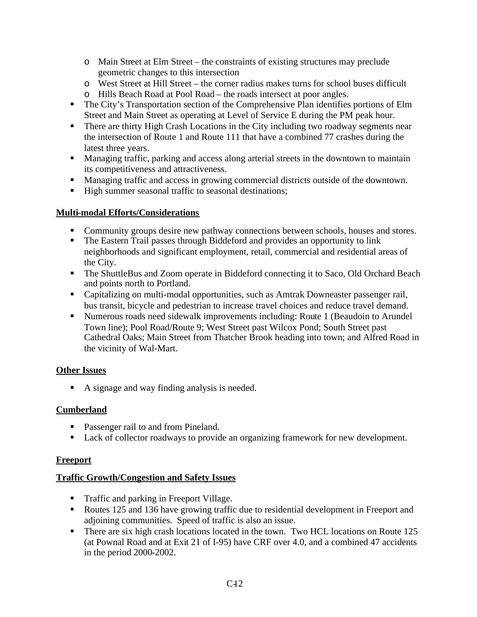- o Main Street at Elm Street the constraints of existing structures may preclude geometric changes to this intersection
- o West Street at Hill Street the corner radius makes turns for school buses difficult
- o Hills Beach Road at Pool Road the roads intersect at poor angles.
- **The City's Transportation section of the Comprehensive Plan identifies portions of Elm** Street and Main Street as operating at Level of Service E during the PM peak hour.
- **There are thirty High Crash Locations in the City including two roadway segments near** the intersection of Route 1 and Route 111 that have a combined 77 crashes during the latest three years.
- **Managing traffic, parking and access along arterial streets in the downtown to maintain** its competitiveness and attractiveness.
- Managing traffic and access in growing commercial districts outside of the downtown.
- High summer seasonal traffic to seasonal destinations;

#### **Multi-modal Efforts/Considerations**

- Community groups desire new pathway connections between schools, houses and stores.
- The Eastern Trail passes through Biddeford and provides an opportunity to link neighborhoods and significant employment, retail, commercial and residential areas of the City.
- The ShuttleBus and Zoom operate in Biddeford connecting it to Saco, Old Orchard Beach and points north to Portland.
- Capitalizing on multi-modal opportunities, such as Amtrak Downeaster passenger rail, bus transit, bicycle and pedestrian to increase travel choices and reduce travel demand.
- Numerous roads need sidewalk improvements including: Route 1 (Beaudoin to Arundel Town line); Pool Road/Route 9; West Street past Wilcox Pond; South Street past Cathedral Oaks; Main Street from Thatcher Brook heading into town; and Alfred Road in the vicinity of Wal-Mart.

## **Other Issues**

A signage and way finding analysis is needed.

## **Cumberland**

- Passenger rail to and from Pineland.
- Lack of collector roadways to provide an organizing framework for new development.

#### **Freeport**

#### **Traffic Growth/Congestion and Safety Issues**

- **Traffic and parking in Freeport Village.**
- Routes 125 and 136 have growing traffic due to residential development in Freeport and adjoining communities. Speed of traffic is also an issue.
- There are six high crash locations located in the town. Two HCL locations on Route 125 (at Pownal Road and at Exit 21 of I-95) have CRF over 4.0, and a combined 47 accidents in the period 2000-2002.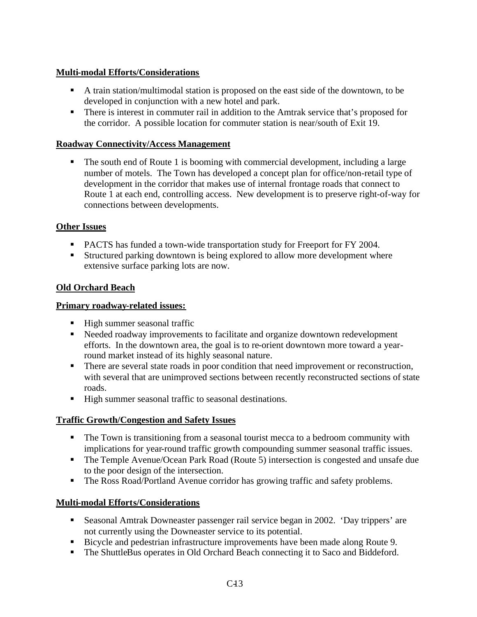## **Multi-modal Efforts/Considerations**

- A train station/multimodal station is proposed on the east side of the downtown, to be developed in conjunction with a new hotel and park.
- There is interest in commuter rail in addition to the Amtrak service that's proposed for the corridor. A possible location for commuter station is near/south of Exit 19.

#### **Roadway Connectivity/Access Management**

 The south end of Route 1 is booming with commercial development, including a large number of motels. The Town has developed a concept plan for office/non-retail type of development in the corridor that makes use of internal frontage roads that connect to Route 1 at each end, controlling access. New development is to preserve right-of-way for connections between developments.

## **Other Issues**

- PACTS has funded a town-wide transportation study for Freeport for FY 2004.
- Structured parking downtown is being explored to allow more development where extensive surface parking lots are now.

## **Old Orchard Beach**

#### **Primary roadway-related issues:**

- High summer seasonal traffic
- Needed roadway improvements to facilitate and organize downtown redevelopment efforts. In the downtown area, the goal is to re-orient downtown more toward a yearround market instead of its highly seasonal nature.
- There are several state roads in poor condition that need improvement or reconstruction, with several that are unimproved sections between recently reconstructed sections of state roads.
- High summer seasonal traffic to seasonal destinations.

## **Traffic Growth/Congestion and Safety Issues**

- The Town is transitioning from a seasonal tourist mecca to a bedroom community with implications for year-round traffic growth compounding summer seasonal traffic issues.
- The Temple Avenue/Ocean Park Road (Route 5) intersection is congested and unsafe due to the poor design of the intersection.
- The Ross Road/Portland Avenue corridor has growing traffic and safety problems.

#### **Multi-modal Efforts/Considerations**

- Seasonal Amtrak Downeaster passenger rail service began in 2002. 'Day trippers' are not currently using the Downeaster service to its potential.
- Bicycle and pedestrian infrastructure improvements have been made along Route 9.
- The ShuttleBus operates in Old Orchard Beach connecting it to Saco and Biddeford.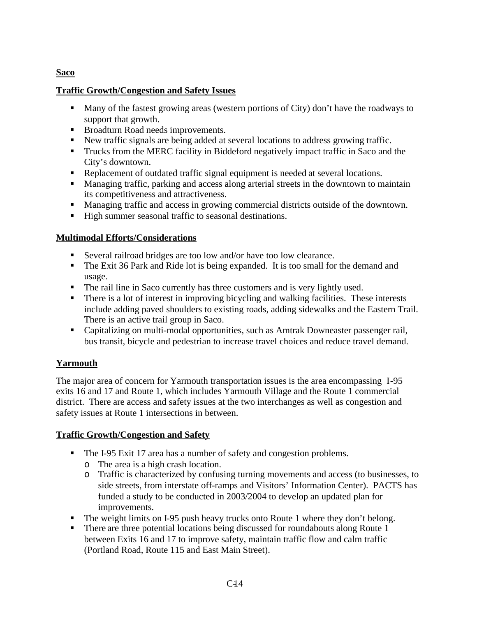## **Saco**

#### **Traffic Growth/Congestion and Safety Issues**

- Many of the fastest growing areas (western portions of City) don't have the roadways to support that growth.
- Broadturn Road needs improvements.
- New traffic signals are being added at several locations to address growing traffic.
- **Trucks from the MERC facility in Biddeford negatively impact traffic in Saco and the** City's downtown.
- Replacement of outdated traffic signal equipment is needed at several locations.
- Managing traffic, parking and access along arterial streets in the downtown to maintain its competitiveness and attractiveness.
- Managing traffic and access in growing commercial districts outside of the downtown.
- High summer seasonal traffic to seasonal destinations.

## **Multimodal Efforts/Considerations**

- Several railroad bridges are too low and/or have too low clearance.
- The Exit 36 Park and Ride lot is being expanded. It is too small for the demand and usage.
- The rail line in Saco currently has three customers and is very lightly used.
- There is a lot of interest in improving bicycling and walking facilities. These interests include adding paved shoulders to existing roads, adding sidewalks and the Eastern Trail. There is an active trail group in Saco.
- Capitalizing on multi-modal opportunities, such as Amtrak Downeaster passenger rail, bus transit, bicycle and pedestrian to increase travel choices and reduce travel demand.

## **Yarmouth**

The major area of concern for Yarmouth transportation issues is the area encompassing I-95 exits 16 and 17 and Route 1, which includes Yarmouth Village and the Route 1 commercial district. There are access and safety issues at the two interchanges as well as congestion and safety issues at Route 1 intersections in between.

## **Traffic Growth/Congestion and Safety**

- The I-95 Exit 17 area has a number of safety and congestion problems.
	- o The area is a high crash location.
	- o Traffic is characterized by confusing turning movements and access (to businesses, to side streets, from interstate off-ramps and Visitors' Information Center). PACTS has funded a study to be conducted in 2003/2004 to develop an updated plan for improvements.
- The weight limits on I-95 push heavy trucks onto Route 1 where they don't belong.
- There are three potential locations being discussed for roundabouts along Route  $1$ between Exits 16 and 17 to improve safety, maintain traffic flow and calm traffic (Portland Road, Route 115 and East Main Street).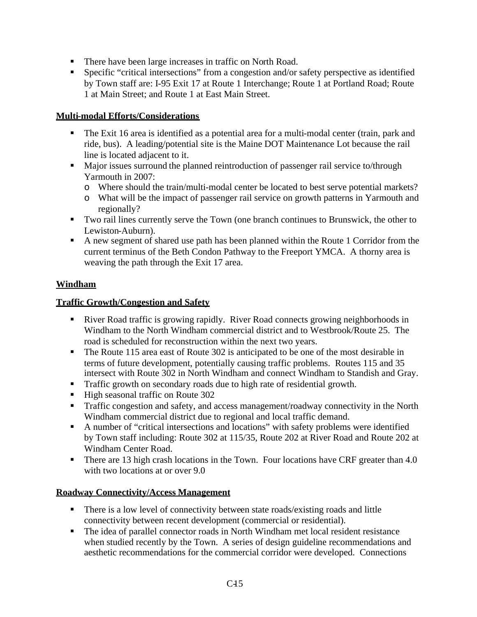- There have been large increases in traffic on North Road.
- Specific "critical intersections" from a congestion and/or safety perspective as identified by Town staff are: I-95 Exit 17 at Route 1 Interchange; Route 1 at Portland Road; Route 1 at Main Street; and Route 1 at East Main Street.

#### **Multi-modal Efforts/Considerations**

- The Exit 16 area is identified as a potential area for a multi-modal center (train, park and ride, bus). A leading/potential site is the Maine DOT Maintenance Lot because the rail line is located adjacent to it.
- Major issues surround the planned reintroduction of passenger rail service to/through Yarmouth in 2007:
	- o Where should the train/multi-modal center be located to best serve potential markets?
	- o What will be the impact of passenger rail service on growth patterns in Yarmouth and regionally?
- Two rail lines currently serve the Town (one branch continues to Brunswick, the other to Lewiston-Auburn).
- A new segment of shared use path has been planned within the Route 1 Corridor from the current terminus of the Beth Condon Pathway to the Freeport YMCA. A thorny area is weaving the path through the Exit 17 area.

## **Windham**

## **Traffic Growth/Congestion and Safety**

- River Road traffic is growing rapidly. River Road connects growing neighborhoods in Windham to the North Windham commercial district and to Westbrook/Route 25. The road is scheduled for reconstruction within the next two years.
- The Route 115 area east of Route 302 is anticipated to be one of the most desirable in terms of future development, potentially causing traffic problems. Routes 115 and 35 intersect with Route 302 in North Windham and connect Windham to Standish and Gray.
- **Traffic growth on secondary roads due to high rate of residential growth.**
- High seasonal traffic on Route 302
- Traffic congestion and safety, and access management/roadway connectivity in the North Windham commercial district due to regional and local traffic demand.
- A number of "critical intersections and locations" with safety problems were identified by Town staff including: Route 302 at 115/35, Route 202 at River Road and Route 202 at Windham Center Road.
- There are 13 high crash locations in the Town. Four locations have CRF greater than 4.0 with two locations at or over 9.0

#### **Roadway Connectivity/Access Management**

- There is a low level of connectivity between state roads/existing roads and little connectivity between recent development (commercial or residential).
- The idea of parallel connector roads in North Windham met local resident resistance when studied recently by the Town. A series of design guideline recommendations and aesthetic recommendations for the commercial corridor were developed. Connections